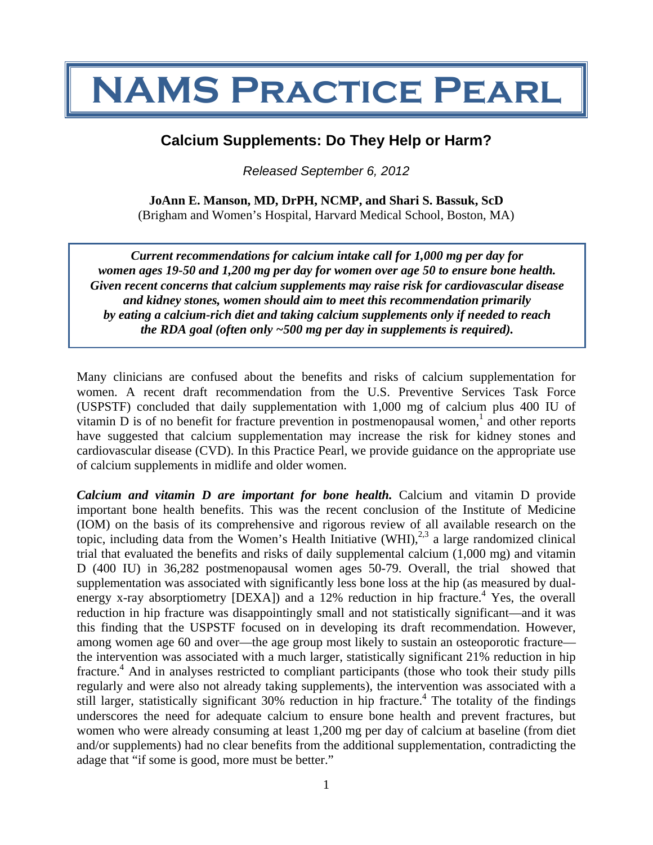# **NAMS Practice Pearl**

# **Calcium Supplements: Do They Help or Harm?**

*Released September 6, 2012*

**JoAnn E. Manson, MD, DrPH, NCMP, and Shari S. Bassuk, ScD**  (Brigham and Women's Hospital, Harvard Medical School, Boston, MA)

*Current recommendations for calcium intake call for 1,000 mg per day for women ages 19-50 and 1,200 mg per day for women over age 50 to ensure bone health. Given recent concerns that calcium supplements may raise risk for cardiovascular disease and kidney stones, women should aim to meet this recommendation primarily by eating a calcium-rich diet and taking calcium supplements only if needed to reach the RDA goal (often only ~500 mg per day in supplements is required).* 

Many clinicians are confused about the benefits and risks of calcium supplementation for women. A recent draft recommendation from the U.S. Preventive Services Task Force (USPSTF) concluded that daily supplementation with 1,000 mg of calcium plus 400 IU of vitamin  $D$  is of no benefit for fracture prevention in postmenopausal women,<sup>1</sup> and other reports have suggested that calcium supplementation may increase the risk for kidney stones and cardiovascular disease (CVD). In this Practice Pearl, we provide guidance on the appropriate use of calcium supplements in midlife and older women.

*Calcium and vitamin D are important for bone health.* Calcium and vitamin D provide important bone health benefits. This was the recent conclusion of the Institute of Medicine (IOM) on the basis of its comprehensive and rigorous review of all available research on the topic, including data from the Women's Health Initiative (WHI),<sup>2,3</sup> a large randomized clinical trial that evaluated the benefits and risks of daily supplemental calcium (1,000 mg) and vitamin D (400 IU) in 36,282 postmenopausal women ages 50-79. Overall, the trial showed that supplementation was associated with significantly less bone loss at the hip (as measured by dualenergy x-ray absorptiometry  $[DEXA]$  and a 12% reduction in hip fracture.<sup>4</sup> Yes, the overall reduction in hip fracture was disappointingly small and not statistically significant—and it was this finding that the USPSTF focused on in developing its draft recommendation. However, among women age 60 and over—the age group most likely to sustain an osteoporotic fracture the intervention was associated with a much larger, statistically significant 21% reduction in hip fracture.<sup>4</sup> And in analyses restricted to compliant participants (those who took their study pills regularly and were also not already taking supplements), the intervention was associated with a still larger, statistically significant 30% reduction in hip fracture.<sup>4</sup> The totality of the findings underscores the need for adequate calcium to ensure bone health and prevent fractures, but women who were already consuming at least 1,200 mg per day of calcium at baseline (from diet and/or supplements) had no clear benefits from the additional supplementation, contradicting the adage that "if some is good, more must be better."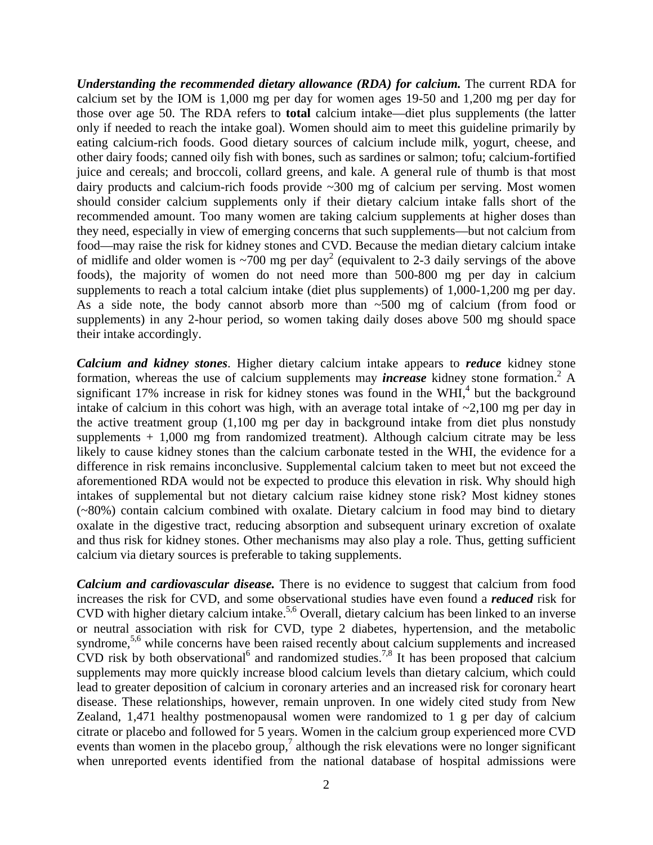*Understanding the recommended dietary allowance (RDA) for calcium.* The current RDA for calcium set by the IOM is 1,000 mg per day for women ages 19-50 and 1,200 mg per day for those over age 50. The RDA refers to **total** calcium intake—diet plus supplements (the latter only if needed to reach the intake goal). Women should aim to meet this guideline primarily by eating calcium-rich foods. Good dietary sources of calcium include milk, yogurt, cheese, and other dairy foods; canned oily fish with bones, such as sardines or salmon; tofu; calcium-fortified juice and cereals; and broccoli, collard greens, and kale. A general rule of thumb is that most dairy products and calcium-rich foods provide ~300 mg of calcium per serving. Most women should consider calcium supplements only if their dietary calcium intake falls short of the recommended amount. Too many women are taking calcium supplements at higher doses than they need, especially in view of emerging concerns that such supplements—but not calcium from food—may raise the risk for kidney stones and CVD. Because the median dietary calcium intake of midlife and older women is  $\sim$ 700 mg per day<sup>2</sup> (equivalent to 2-3 daily servings of the above foods), the majority of women do not need more than 500-800 mg per day in calcium supplements to reach a total calcium intake (diet plus supplements) of 1,000-1,200 mg per day. As a side note, the body cannot absorb more than ~500 mg of calcium (from food or supplements) in any 2-hour period, so women taking daily doses above 500 mg should space their intake accordingly.

*Calcium and kidney stones*. Higher dietary calcium intake appears to *reduce* kidney stone formation, whereas the use of calcium supplements may *increase* kidney stone formation.<sup>2</sup> A significant 17% increase in risk for kidney stones was found in the WHI, $4$  but the background intake of calcium in this cohort was high, with an average total intake of  $\sim 2,100$  mg per day in the active treatment group (1,100 mg per day in background intake from diet plus nonstudy supplements  $+1,000$  mg from randomized treatment). Although calcium citrate may be less likely to cause kidney stones than the calcium carbonate tested in the WHI, the evidence for a difference in risk remains inconclusive. Supplemental calcium taken to meet but not exceed the aforementioned RDA would not be expected to produce this elevation in risk. Why should high intakes of supplemental but not dietary calcium raise kidney stone risk? Most kidney stones (~80%) contain calcium combined with oxalate. Dietary calcium in food may bind to dietary oxalate in the digestive tract, reducing absorption and subsequent urinary excretion of oxalate and thus risk for kidney stones. Other mechanisms may also play a role. Thus, getting sufficient calcium via dietary sources is preferable to taking supplements.

*Calcium and cardiovascular disease.* There is no evidence to suggest that calcium from food increases the risk for CVD, and some observational studies have even found a *reduced* risk for CVD with higher dietary calcium intake.<sup>5,6</sup> Overall, dietary calcium has been linked to an inverse or neutral association with risk for CVD, type 2 diabetes, hypertension, and the metabolic syndrome,<sup>5,6</sup> while concerns have been raised recently about calcium supplements and increased CVD risk by both observational<sup>6</sup> and randomized studies.<sup>7,8</sup> It has been proposed that calcium supplements may more quickly increase blood calcium levels than dietary calcium, which could lead to greater deposition of calcium in coronary arteries and an increased risk for coronary heart disease. These relationships, however, remain unproven. In one widely cited study from New Zealand, 1,471 healthy postmenopausal women were randomized to 1 g per day of calcium citrate or placebo and followed for 5 years. Women in the calcium group experienced more CVD events than women in the placebo group,<sup>7</sup> although the risk elevations were no longer significant when unreported events identified from the national database of hospital admissions were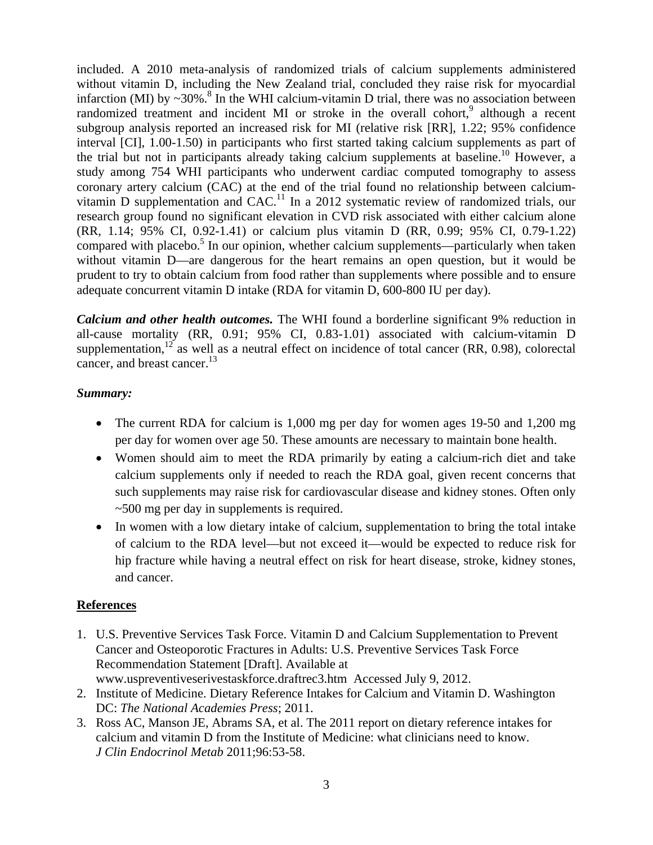included. A 2010 meta-analysis of randomized trials of calcium supplements administered without vitamin D, including the New Zealand trial, concluded they raise risk for myocardial infarction (MI) by  $\sim$ 30%.<sup>8</sup> In the WHI calcium-vitamin D trial, there was no association between randomized treatment and incident MI or stroke in the overall cohort,<sup>9</sup> although a recent subgroup analysis reported an increased risk for MI (relative risk [RR], 1.22; 95% confidence interval [CI], 1.00-1.50) in participants who first started taking calcium supplements as part of the trial but not in participants already taking calcium supplements at baseline.<sup>10</sup> However, a study among 754 WHI participants who underwent cardiac computed tomography to assess coronary artery calcium (CAC) at the end of the trial found no relationship between calciumvitamin D supplementation and  $CAC<sup>11</sup>$  In a 2012 systematic review of randomized trials, our research group found no significant elevation in CVD risk associated with either calcium alone (RR, 1.14; 95% CI, 0.92-1.41) or calcium plus vitamin D (RR, 0.99; 95% CI, 0.79-1.22) compared with placebo.<sup>5</sup> In our opinion, whether calcium supplements—particularly when taken without vitamin D—are dangerous for the heart remains an open question, but it would be prudent to try to obtain calcium from food rather than supplements where possible and to ensure adequate concurrent vitamin D intake (RDA for vitamin D, 600-800 IU per day).

*Calcium and other health outcomes.* The WHI found a borderline significant 9% reduction in all-cause mortality (RR, 0.91; 95% CI, 0.83-1.01) associated with calcium-vitamin D supplementation,<sup>12</sup> as well as a neutral effect on incidence of total cancer (RR, 0.98), colorectal cancer, and breast cancer.<sup>13</sup>

#### *Summary:*

- The current RDA for calcium is 1,000 mg per day for women ages 19-50 and 1,200 mg per day for women over age 50. These amounts are necessary to maintain bone health.
- Women should aim to meet the RDA primarily by eating a calcium-rich diet and take calcium supplements only if needed to reach the RDA goal, given recent concerns that such supplements may raise risk for cardiovascular disease and kidney stones. Often only ~500 mg per day in supplements is required.
- In women with a low dietary intake of calcium, supplementation to bring the total intake of calcium to the RDA level—but not exceed it—would be expected to reduce risk for hip fracture while having a neutral effect on risk for heart disease, stroke, kidney stones, and cancer.

## **References**

- 1. U.S. Preventive Services Task Force. Vitamin D and Calcium Supplementation to Prevent Cancer and Osteoporotic Fractures in Adults: U.S. Preventive Services Task Force Recommendation Statement [Draft]. Available at www.uspreventiveserivestaskforce.draftrec3.htm Accessed July 9, 2012.
- 2. Institute of Medicine. Dietary Reference Intakes for Calcium and Vitamin D. Washington DC: *The National Academies Press*; 2011.
- 3. Ross AC, Manson JE, Abrams SA, et al. The 2011 report on dietary reference intakes for calcium and vitamin D from the Institute of Medicine: what clinicians need to know. *J Clin Endocrinol Metab* 2011;96:53-58.